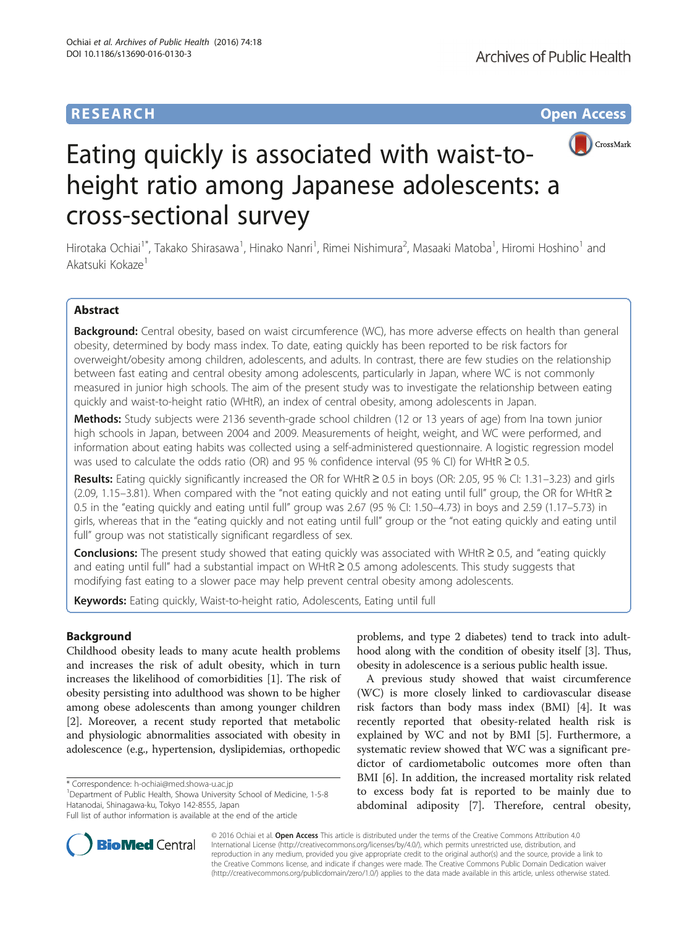# **RESEARCH CHINESE ARCH CHINESE ARCH CHINESE ARCH <b>CHINESE ARCH CHINESE ARCH CHINESE ARCH <b>CHINESE CHINESE**



# Eating quickly is associated with waist-toheight ratio among Japanese adolescents: a cross-sectional survey

Hirotaka Ochiai<sup>1\*</sup>, Takako Shirasawa<sup>1</sup>, Hinako Nanri<sup>1</sup>, Rimei Nishimura<sup>2</sup>, Masaaki Matoba<sup>1</sup>, Hiromi Hoshino<sup>1</sup> and Akatsuki Kokaze<sup>1</sup>

# Abstract

Background: Central obesity, based on waist circumference (WC), has more adverse effects on health than general obesity, determined by body mass index. To date, eating quickly has been reported to be risk factors for overweight/obesity among children, adolescents, and adults. In contrast, there are few studies on the relationship between fast eating and central obesity among adolescents, particularly in Japan, where WC is not commonly measured in junior high schools. The aim of the present study was to investigate the relationship between eating quickly and waist-to-height ratio (WHtR), an index of central obesity, among adolescents in Japan.

Methods: Study subjects were 2136 seventh-grade school children (12 or 13 years of age) from Ina town junior high schools in Japan, between 2004 and 2009. Measurements of height, weight, and WC were performed, and information about eating habits was collected using a self-administered questionnaire. A logistic regression model was used to calculate the odds ratio (OR) and 95 % confidence interval (95 % CI) for WHtR  $\geq$  0.5.

Results: Eating quickly significantly increased the OR for WHtR ≥ 0.5 in boys (OR: 2.05, 95 % CI: 1.31–3.23) and girls (2.09, 1.15–3.81). When compared with the "not eating quickly and not eating until full" group, the OR for WHtR  $\geq$ 0.5 in the "eating quickly and eating until full" group was 2.67 (95 % CI: 1.50–4.73) in boys and 2.59 (1.17–5.73) in girls, whereas that in the "eating quickly and not eating until full" group or the "not eating quickly and eating until full" group was not statistically significant regardless of sex.

Conclusions: The present study showed that eating quickly was associated with WHtR ≥ 0.5, and "eating quickly and eating until full" had a substantial impact on WHtR ≥ 0.5 among adolescents. This study suggests that modifying fast eating to a slower pace may help prevent central obesity among adolescents.

Keywords: Eating quickly, Waist-to-height ratio, Adolescents, Eating until full

# Background

Childhood obesity leads to many acute health problems and increases the risk of adult obesity, which in turn increases the likelihood of comorbidities [[1\]](#page-5-0). The risk of obesity persisting into adulthood was shown to be higher among obese adolescents than among younger children [[2\]](#page-5-0). Moreover, a recent study reported that metabolic and physiologic abnormalities associated with obesity in adolescence (e.g., hypertension, dyslipidemias, orthopedic

problems, and type 2 diabetes) tend to track into adulthood along with the condition of obesity itself [\[3](#page-5-0)]. Thus, obesity in adolescence is a serious public health issue.

A previous study showed that waist circumference (WC) is more closely linked to cardiovascular disease risk factors than body mass index (BMI) [\[4](#page-5-0)]. It was recently reported that obesity-related health risk is explained by WC and not by BMI [[5\]](#page-6-0). Furthermore, a systematic review showed that WC was a significant predictor of cardiometabolic outcomes more often than BMI [\[6](#page-6-0)]. In addition, the increased mortality risk related to excess body fat is reported to be mainly due to abdominal adiposity [\[7](#page-6-0)]. Therefore, central obesity,



© 2016 Ochiai et al. Open Access This article is distributed under the terms of the Creative Commons Attribution 4.0 International License [\(http://creativecommons.org/licenses/by/4.0/](http://creativecommons.org/licenses/by/4.0/)), which permits unrestricted use, distribution, and reproduction in any medium, provided you give appropriate credit to the original author(s) and the source, provide a link to the Creative Commons license, and indicate if changes were made. The Creative Commons Public Domain Dedication waiver [\(http://creativecommons.org/publicdomain/zero/1.0/](http://creativecommons.org/publicdomain/zero/1.0/)) applies to the data made available in this article, unless otherwise stated.

<sup>\*</sup> Correspondence: [h-ochiai@med.showa-u.ac.jp](mailto:h-ochiai@med.showa-u.ac.jp) <sup>1</sup>

<sup>&</sup>lt;sup>1</sup>Department of Public Health, Showa University School of Medicine, 1-5-8 Hatanodai, Shinagawa-ku, Tokyo 142-8555, Japan

Full list of author information is available at the end of the article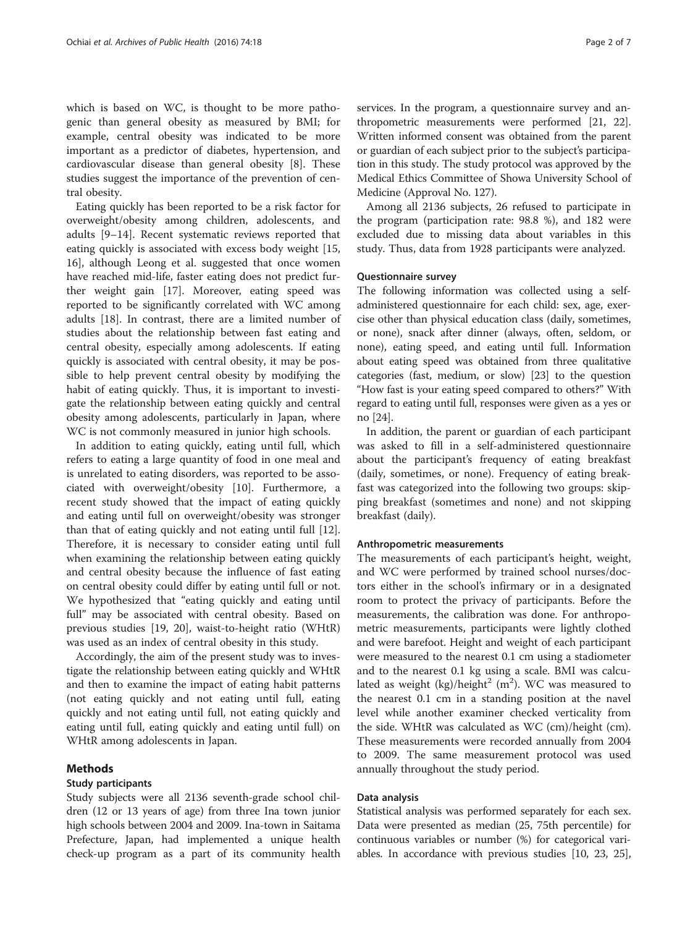which is based on WC, is thought to be more pathogenic than general obesity as measured by BMI; for example, central obesity was indicated to be more important as a predictor of diabetes, hypertension, and cardiovascular disease than general obesity [[8](#page-6-0)]. These studies suggest the importance of the prevention of central obesity.

Eating quickly has been reported to be a risk factor for overweight/obesity among children, adolescents, and adults [\[9](#page-6-0)–[14\]](#page-6-0). Recent systematic reviews reported that eating quickly is associated with excess body weight [[15](#page-6-0), [16\]](#page-6-0), although Leong et al. suggested that once women have reached mid-life, faster eating does not predict further weight gain [\[17](#page-6-0)]. Moreover, eating speed was reported to be significantly correlated with WC among adults [[18\]](#page-6-0). In contrast, there are a limited number of studies about the relationship between fast eating and central obesity, especially among adolescents. If eating quickly is associated with central obesity, it may be possible to help prevent central obesity by modifying the habit of eating quickly. Thus, it is important to investigate the relationship between eating quickly and central obesity among adolescents, particularly in Japan, where WC is not commonly measured in junior high schools.

In addition to eating quickly, eating until full, which refers to eating a large quantity of food in one meal and is unrelated to eating disorders, was reported to be associated with overweight/obesity [[10](#page-6-0)]. Furthermore, a recent study showed that the impact of eating quickly and eating until full on overweight/obesity was stronger than that of eating quickly and not eating until full [\[12](#page-6-0)]. Therefore, it is necessary to consider eating until full when examining the relationship between eating quickly and central obesity because the influence of fast eating on central obesity could differ by eating until full or not. We hypothesized that "eating quickly and eating until full" may be associated with central obesity. Based on previous studies [[19, 20](#page-6-0)], waist-to-height ratio (WHtR) was used as an index of central obesity in this study.

Accordingly, the aim of the present study was to investigate the relationship between eating quickly and WHtR and then to examine the impact of eating habit patterns (not eating quickly and not eating until full, eating quickly and not eating until full, not eating quickly and eating until full, eating quickly and eating until full) on WHtR among adolescents in Japan.

## Methods

### Study participants

Study subjects were all 2136 seventh-grade school children (12 or 13 years of age) from three Ina town junior high schools between 2004 and 2009. Ina-town in Saitama Prefecture, Japan, had implemented a unique health check-up program as a part of its community health services. In the program, a questionnaire survey and anthropometric measurements were performed [[21](#page-6-0), [22](#page-6-0)]. Written informed consent was obtained from the parent or guardian of each subject prior to the subject's participation in this study. The study protocol was approved by the Medical Ethics Committee of Showa University School of Medicine (Approval No. 127).

Among all 2136 subjects, 26 refused to participate in the program (participation rate: 98.8 %), and 182 were excluded due to missing data about variables in this study. Thus, data from 1928 participants were analyzed.

#### Questionnaire survey

The following information was collected using a selfadministered questionnaire for each child: sex, age, exercise other than physical education class (daily, sometimes, or none), snack after dinner (always, often, seldom, or none), eating speed, and eating until full. Information about eating speed was obtained from three qualitative categories (fast, medium, or slow) [\[23\]](#page-6-0) to the question "How fast is your eating speed compared to others?" With regard to eating until full, responses were given as a yes or no [[24](#page-6-0)].

In addition, the parent or guardian of each participant was asked to fill in a self-administered questionnaire about the participant's frequency of eating breakfast (daily, sometimes, or none). Frequency of eating breakfast was categorized into the following two groups: skipping breakfast (sometimes and none) and not skipping breakfast (daily).

### Anthropometric measurements

The measurements of each participant's height, weight, and WC were performed by trained school nurses/doctors either in the school's infirmary or in a designated room to protect the privacy of participants. Before the measurements, the calibration was done. For anthropometric measurements, participants were lightly clothed and were barefoot. Height and weight of each participant were measured to the nearest 0.1 cm using a stadiometer and to the nearest 0.1 kg using a scale. BMI was calculated as weight (kg)/height<sup>2</sup> (m<sup>2</sup>). WC was measured to the nearest 0.1 cm in a standing position at the navel level while another examiner checked verticality from the side. WHtR was calculated as WC (cm)/height (cm). These measurements were recorded annually from 2004 to 2009. The same measurement protocol was used annually throughout the study period.

### Data analysis

Statistical analysis was performed separately for each sex. Data were presented as median (25, 75th percentile) for continuous variables or number (%) for categorical variables. In accordance with previous studies [[10](#page-6-0), [23, 25](#page-6-0)],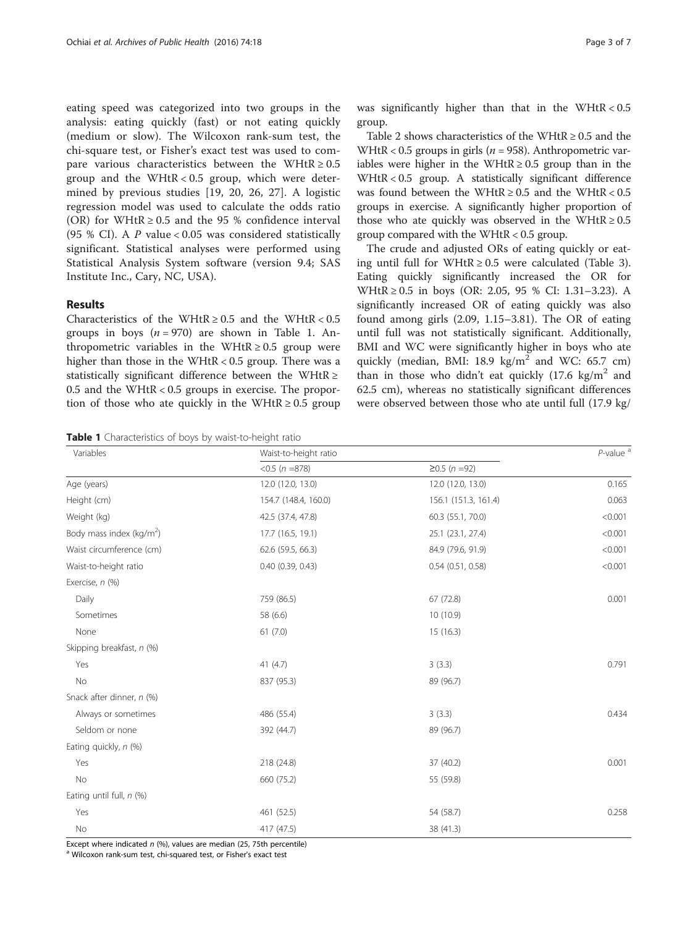eating speed was categorized into two groups in the analysis: eating quickly (fast) or not eating quickly (medium or slow). The Wilcoxon rank-sum test, the chi-square test, or Fisher's exact test was used to compare various characteristics between the WHtR  $\geq 0.5$ group and the WHtR <  $0.5$  group, which were determined by previous studies [[19, 20, 26](#page-6-0), [27](#page-6-0)]. A logistic regression model was used to calculate the odds ratio (OR) for WHtR  $\geq$  0.5 and the 95 % confidence interval (95 % CI). A  $P$  value < 0.05 was considered statistically significant. Statistical analyses were performed using Statistical Analysis System software (version 9.4; SAS Institute Inc., Cary, NC, USA).

## Results

Characteristics of the WHtR  $\geq 0.5$  and the WHtR  $< 0.5$ groups in boys  $(n = 970)$  are shown in Table 1. Anthropometric variables in the WHtR  $\geq 0.5$  group were higher than those in the WHtR < 0.5 group. There was a statistically significant difference between the WHtR  $\ge$ 0.5 and the WHtR < 0.5 groups in exercise. The proportion of those who ate quickly in the WHtR  $\geq 0.5$  group

Table 1 Characteristics of boys by waist-to-height ratio

was significantly higher than that in the WHtR < 0.5 group.

Table [2](#page-3-0) shows characteristics of the WHtR  $\geq 0.5$  and the WHtR <  $0.5$  groups in girls ( $n = 958$ ). Anthropometric variables were higher in the WHtR  $\geq 0.5$  group than in the WHtR < 0.5 group. A statistically significant difference was found between the WHtR  $\geq 0.5$  and the WHtR  $< 0.5$ groups in exercise. A significantly higher proportion of those who ate quickly was observed in the WHtR  $\geq 0.5$ group compared with the WHtR < 0.5 group.

The crude and adjusted ORs of eating quickly or eat-ing until full for WHtR ≥ 0.5 were calculated (Table [3](#page-3-0)). Eating quickly significantly increased the OR for WHtR ≥ 0.5 in boys (OR: 2.05, 95 % CI: 1.31–3.23). A significantly increased OR of eating quickly was also found among girls (2.09, 1.15–3.81). The OR of eating until full was not statistically significant. Additionally, BMI and WC were significantly higher in boys who ate quickly (median, BMI: 18.9 kg/m<sup>2</sup> and WC: 65.7 cm) than in those who didn't eat quickly  $(17.6 \text{ kg/m}^2 \text{ and}$ 62.5 cm), whereas no statistically significant differences were observed between those who ate until full (17.9 kg/

| Variables                   | Waist-to-height ratio |                       | $P$ -value <sup>a</sup> |  |
|-----------------------------|-----------------------|-----------------------|-------------------------|--|
|                             | $< 0.5 (n = 878)$     | $≥0.5(n=92)$          |                         |  |
| Age (years)                 | 12.0 (12.0, 13.0)     | 12.0 (12.0, 13.0)     | 0.165                   |  |
| Height (cm)                 | 154.7 (148.4, 160.0)  | 156.1 (151.3, 161.4)  | 0.063                   |  |
| Weight (kg)                 | 42.5 (37.4, 47.8)     | 60.3 (55.1, 70.0)     | < 0.001                 |  |
| Body mass index ( $kg/m2$ ) | 17.7 (16.5, 19.1)     | 25.1 (23.1, 27.4)     | < 0.001                 |  |
| Waist circumference (cm)    | 62.6 (59.5, 66.3)     | 84.9 (79.6, 91.9)     | < 0.001                 |  |
| Waist-to-height ratio       | $0.40$ $(0.39, 0.43)$ | $0.54$ $(0.51, 0.58)$ | < 0.001                 |  |
| Exercise, n (%)             |                       |                       |                         |  |
| Daily                       | 759 (86.5)            | 67 (72.8)             | 0.001                   |  |
| Sometimes                   | 58 (6.6)              | 10 (10.9)             |                         |  |
| None                        | 61(7.0)               | 15(16.3)              |                         |  |
| Skipping breakfast, n (%)   |                       |                       |                         |  |
| Yes                         | 41(4.7)               | 3(3.3)                | 0.791                   |  |
| No                          | 837 (95.3)            | 89 (96.7)             |                         |  |
| Snack after dinner, n (%)   |                       |                       |                         |  |
| Always or sometimes         | 486 (55.4)            | 3(3.3)                | 0.434                   |  |
| Seldom or none              | 392 (44.7)            | 89 (96.7)             |                         |  |
| Eating quickly, n (%)       |                       |                       |                         |  |
| Yes                         | 218 (24.8)            | 37 (40.2)             | 0.001                   |  |
| No                          | 660 (75.2)            | 55 (59.8)             |                         |  |
| Eating until full, n (%)    |                       |                       |                         |  |
| Yes                         | 461 (52.5)            | 54 (58.7)             | 0.258                   |  |
| No                          | 417 (47.5)            | 38 (41.3)             |                         |  |

Except where indicated n (%), values are median (25, 75th percentile) a Wilcoxon rank-sum test, chi-squared test, or Fisher's exact test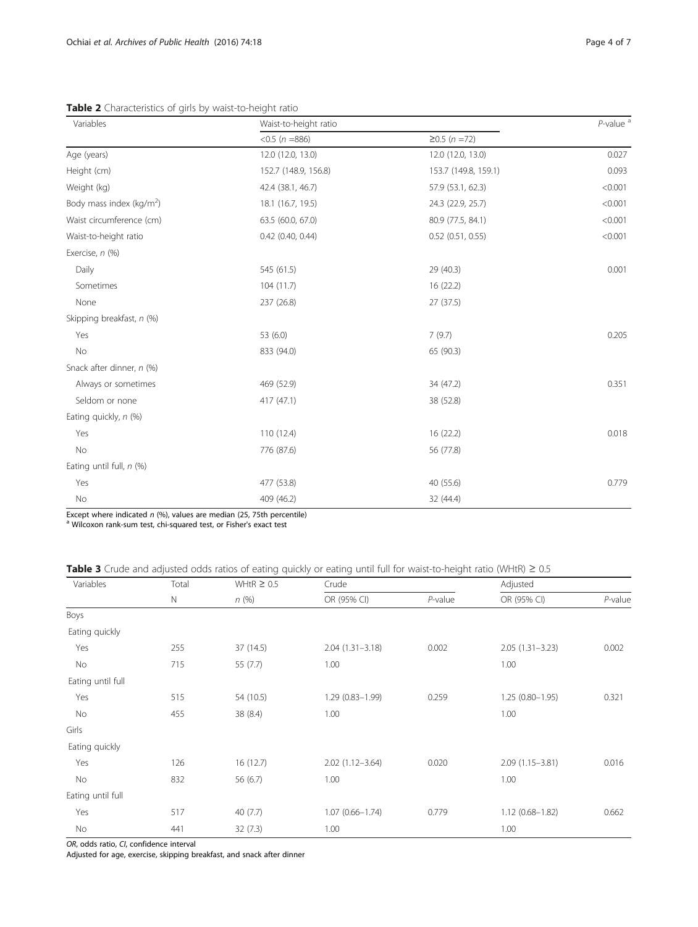<span id="page-3-0"></span>Table 2 Characteristics of girls by waist-to-height ratio

| Variables                   | Waist-to-height ratio | $P$ -value <sup>a</sup> |         |  |
|-----------------------------|-----------------------|-------------------------|---------|--|
|                             | $< 0.5 (n = 886)$     | $≥0.5 (n = 72)$         |         |  |
| Age (years)                 | 12.0 (12.0, 13.0)     | 12.0 (12.0, 13.0)       | 0.027   |  |
| Height (cm)                 | 152.7 (148.9, 156.8)  | 153.7 (149.8, 159.1)    | 0.093   |  |
| Weight (kg)                 | 42.4 (38.1, 46.7)     | 57.9 (53.1, 62.3)       | < 0.001 |  |
| Body mass index ( $kg/m2$ ) | 18.1 (16.7, 19.5)     | 24.3 (22.9, 25.7)       | < 0.001 |  |
| Waist circumference (cm)    | 63.5 (60.0, 67.0)     | 80.9 (77.5, 84.1)       | < 0.001 |  |
| Waist-to-height ratio       | 0.42 (0.40, 0.44)     | $0.52$ (0.51, 0.55)     | < 0.001 |  |
| Exercise, n (%)             |                       |                         |         |  |
| Daily                       | 545 (61.5)            | 29 (40.3)               | 0.001   |  |
| Sometimes                   | 104(11.7)             | 16(22.2)                |         |  |
| None                        | 237 (26.8)            | 27 (37.5)               |         |  |
| Skipping breakfast, n (%)   |                       |                         |         |  |
| Yes                         | 53 (6.0)              | 7(9.7)                  | 0.205   |  |
| No                          | 833 (94.0)            | 65 (90.3)               |         |  |
| Snack after dinner, n (%)   |                       |                         |         |  |
| Always or sometimes         | 469 (52.9)            | 34 (47.2)               | 0.351   |  |
| Seldom or none              | 417 (47.1)            | 38 (52.8)               |         |  |
| Eating quickly, n (%)       |                       |                         |         |  |
| Yes                         | 110 (12.4)            | 16(22.2)                | 0.018   |  |
| No                          | 776 (87.6)            | 56 (77.8)               |         |  |
| Eating until full, $n$ (%)  |                       |                         |         |  |
| Yes                         | 477 (53.8)            | 40 (55.6)               | 0.779   |  |
| No                          | 409 (46.2)            | 32 (44.4)               |         |  |

Except where indicated n (%), values are median (25, 75th percentile)  $^{\text{a}}$  Wilcoxon rank-sum test, chi-squared test, or Fisher's exact test

## Table 3 Crude and adjusted odds ratios of eating quickly or eating until full for waist-to-height ratio (WHtR) ≥ 0.5

| Variables         | Total<br>$\mathbb N$ | WHtR $\geq 0.5$<br>n(%) | Crude               |            | Adjusted            |            |
|-------------------|----------------------|-------------------------|---------------------|------------|---------------------|------------|
|                   |                      |                         | OR (95% CI)         | $P$ -value | OR (95% CI)         | $P$ -value |
| Boys              |                      |                         |                     |            |                     |            |
| Eating quickly    |                      |                         |                     |            |                     |            |
| Yes               | 255                  | 37 (14.5)               | $2.04(1.31 - 3.18)$ | 0.002      | $2.05(1.31 - 3.23)$ | 0.002      |
| No                | 715                  | 55 (7.7)                | 1.00                |            | 1.00                |            |
| Eating until full |                      |                         |                     |            |                     |            |
| Yes               | 515                  | 54 (10.5)               | $1.29(0.83 - 1.99)$ | 0.259      | $1.25(0.80 - 1.95)$ | 0.321      |
| No                | 455                  | 38 (8.4)                | 1.00                |            | 1.00                |            |
| Girls             |                      |                         |                     |            |                     |            |
| Eating quickly    |                      |                         |                     |            |                     |            |
| Yes               | 126                  | 16(12.7)                | $2.02(1.12 - 3.64)$ | 0.020      | $2.09(1.15 - 3.81)$ | 0.016      |
| No                | 832                  | 56 (6.7)                | 1.00                |            | 1.00                |            |
| Eating until full |                      |                         |                     |            |                     |            |
| Yes               | 517                  | 40(7.7)                 | $1.07(0.66 - 1.74)$ | 0.779      | $1.12(0.68 - 1.82)$ | 0.662      |
| <b>No</b>         | 441                  | 32(7.3)                 | 1.00                |            | 1.00                |            |

OR, odds ratio, CI, confidence interval

Adjusted for age, exercise, skipping breakfast, and snack after dinner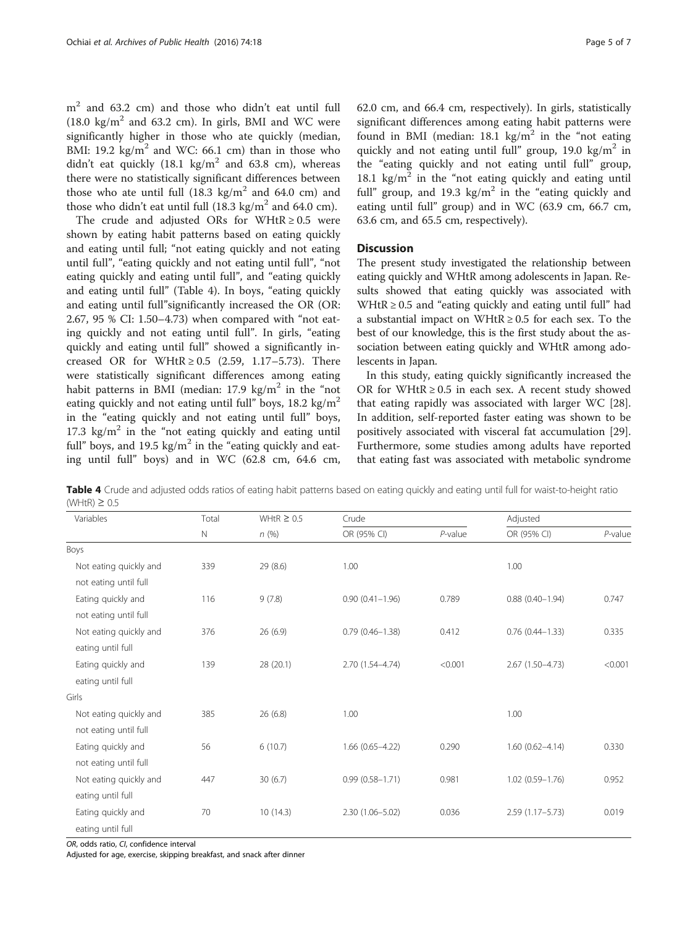$m<sup>2</sup>$  and 63.2 cm) and those who didn't eat until full (18.0 kg/m<sup>2</sup> and 63.2 cm). In girls, BMI and WC were significantly higher in those who ate quickly (median, BMI: 19.2 kg/ $m^2$  and WC: 66.1 cm) than in those who didn't eat quickly  $(18.1 \text{ kg/m}^2 \text{ and } 63.8 \text{ cm})$ , whereas there were no statistically significant differences between those who ate until full  $(18.3 \text{ kg/m}^2 \text{ and } 64.0 \text{ cm})$  and those who didn't eat until full  $(18.3 \text{ kg/m}^2 \text{ and } 64.0 \text{ cm})$ .

The crude and adjusted ORs for WHtR  $\geq$  0.5 were shown by eating habit patterns based on eating quickly and eating until full; "not eating quickly and not eating until full", "eating quickly and not eating until full", "not eating quickly and eating until full", and "eating quickly and eating until full" (Table 4). In boys, "eating quickly and eating until full"significantly increased the OR (OR: 2.67, 95 % CI: 1.50–4.73) when compared with "not eating quickly and not eating until full". In girls, "eating quickly and eating until full" showed a significantly increased OR for WHtR  $\geq$  0.5 (2.59, 1.17–5.73). There were statistically significant differences among eating habit patterns in BMI (median:  $17.9 \text{ kg/m}^2$  in the "not eating quickly and not eating until full" boys,  $18.2 \text{ kg/m}^2$ in the "eating quickly and not eating until full" boys, 17.3 kg/m<sup>2</sup> in the "not eating quickly and eating until full" boys, and 19.5 kg/ $m^2$  in the "eating quickly and eating until full" boys) and in WC (62.8 cm, 64.6 cm, 62.0 cm, and 66.4 cm, respectively). In girls, statistically significant differences among eating habit patterns were found in BMI (median:  $18.1 \text{ kg/m}^2$  in the "not eating quickly and not eating until full" group, 19.0 kg/m<sup>2</sup> in the "eating quickly and not eating until full" group, 18.1 kg/ $m^2$  in the "not eating quickly and eating until full" group, and 19.3 kg/ $m<sup>2</sup>$  in the "eating quickly and eating until full" group) and in WC (63.9 cm, 66.7 cm, 63.6 cm, and 65.5 cm, respectively).

## **Discussion**

The present study investigated the relationship between eating quickly and WHtR among adolescents in Japan. Results showed that eating quickly was associated with WHtR  $\geq$  0.5 and "eating quickly and eating until full" had a substantial impact on WHtR  $\geq$  0.5 for each sex. To the best of our knowledge, this is the first study about the association between eating quickly and WHtR among adolescents in Japan.

In this study, eating quickly significantly increased the OR for WHtR  $\geq$  0.5 in each sex. A recent study showed that eating rapidly was associated with larger WC [\[28](#page-6-0)]. In addition, self-reported faster eating was shown to be positively associated with visceral fat accumulation [\[29](#page-6-0)]. Furthermore, some studies among adults have reported that eating fast was associated with metabolic syndrome

Table 4 Crude and adjusted odds ratios of eating habit patterns based on eating quickly and eating until full for waist-to-height ratio  $(WHtR) \geq 0.5$ 

| Variables              | Total       | WHtR $\geq 0.5$ | Crude               |            | Adjusted               |            |
|------------------------|-------------|-----------------|---------------------|------------|------------------------|------------|
|                        | $\mathbb N$ | n(%)            | OR (95% CI)         | $P$ -value | OR (95% CI)            | $P$ -value |
| Boys                   |             |                 |                     |            |                        |            |
| Not eating quickly and | 339         | 29(8.6)         | 1.00                |            | 1.00                   |            |
| not eating until full  |             |                 |                     |            |                        |            |
| Eating quickly and     | 116         | 9(7.8)          | $0.90(0.41 - 1.96)$ | 0.789      | $0.88$ $(0.40 - 1.94)$ | 0.747      |
| not eating until full  |             |                 |                     |            |                        |            |
| Not eating quickly and | 376         | 26(6.9)         | $0.79(0.46 - 1.38)$ | 0.412      | $0.76(0.44 - 1.33)$    | 0.335      |
| eating until full      |             |                 |                     |            |                        |            |
| Eating quickly and     | 139         | 28 (20.1)       | 2.70 (1.54-4.74)    | < 0.001    | $2.67(1.50-4.73)$      | < 0.001    |
| eating until full      |             |                 |                     |            |                        |            |
| Girls                  |             |                 |                     |            |                        |            |
| Not eating quickly and | 385         | 26(6.8)         | 1.00                |            | 1.00                   |            |
| not eating until full  |             |                 |                     |            |                        |            |
| Eating quickly and     | 56          | 6(10.7)         | $1.66(0.65 - 4.22)$ | 0.290      | $1.60(0.62 - 4.14)$    | 0.330      |
| not eating until full  |             |                 |                     |            |                        |            |
| Not eating quickly and | 447         | 30(6.7)         | $0.99(0.58 - 1.71)$ | 0.981      | $1.02(0.59 - 1.76)$    | 0.952      |
| eating until full      |             |                 |                     |            |                        |            |
| Eating quickly and     | 70          | 10(14.3)        | 2.30 (1.06-5.02)    | 0.036      | $2.59(1.17 - 5.73)$    | 0.019      |
| eating until full      |             |                 |                     |            |                        |            |

OR, odds ratio, CI, confidence interval

Adjusted for age, exercise, skipping breakfast, and snack after dinner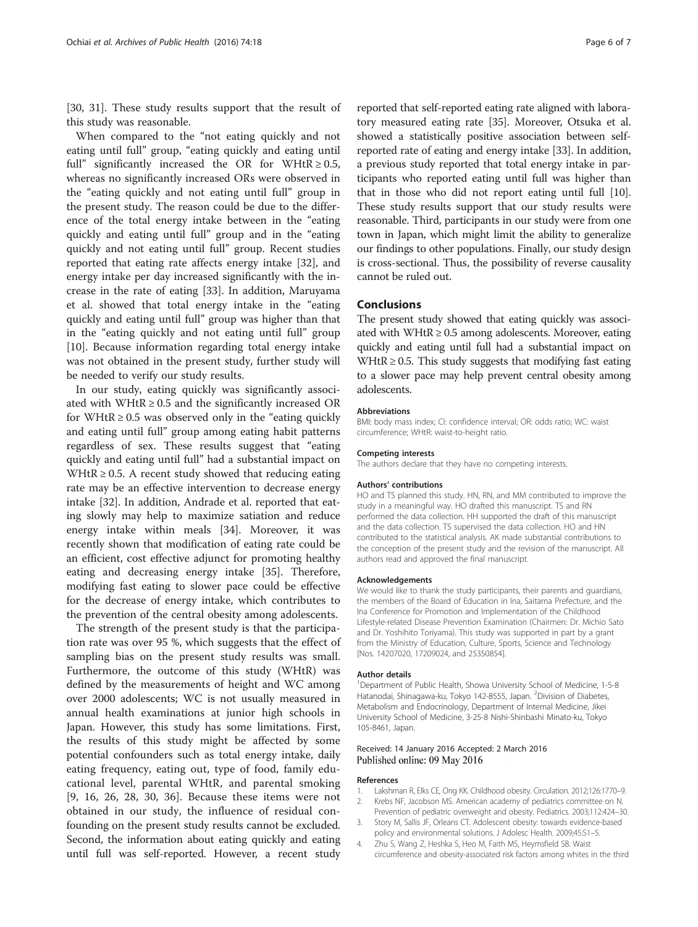<span id="page-5-0"></span>[[30, 31\]](#page-6-0). These study results support that the result of this study was reasonable.

When compared to the "not eating quickly and not eating until full" group, "eating quickly and eating until full" significantly increased the OR for WHtR  $\geq 0.5$ , whereas no significantly increased ORs were observed in the "eating quickly and not eating until full" group in the present study. The reason could be due to the difference of the total energy intake between in the "eating quickly and eating until full" group and in the "eating quickly and not eating until full" group. Recent studies reported that eating rate affects energy intake [\[32](#page-6-0)], and energy intake per day increased significantly with the increase in the rate of eating [\[33\]](#page-6-0). In addition, Maruyama et al. showed that total energy intake in the "eating quickly and eating until full" group was higher than that in the "eating quickly and not eating until full" group [[10\]](#page-6-0). Because information regarding total energy intake was not obtained in the present study, further study will be needed to verify our study results.

In our study, eating quickly was significantly associated with WHtR  $\geq$  0.5 and the significantly increased OR for WHtR  $\geq$  0.5 was observed only in the "eating quickly" and eating until full" group among eating habit patterns regardless of sex. These results suggest that "eating quickly and eating until full" had a substantial impact on WHtR  $\geq$  0.5. A recent study showed that reducing eating rate may be an effective intervention to decrease energy intake [[32\]](#page-6-0). In addition, Andrade et al. reported that eating slowly may help to maximize satiation and reduce energy intake within meals [[34\]](#page-6-0). Moreover, it was recently shown that modification of eating rate could be an efficient, cost effective adjunct for promoting healthy eating and decreasing energy intake [[35](#page-6-0)]. Therefore, modifying fast eating to slower pace could be effective for the decrease of energy intake, which contributes to the prevention of the central obesity among adolescents.

The strength of the present study is that the participation rate was over 95 %, which suggests that the effect of sampling bias on the present study results was small. Furthermore, the outcome of this study (WHtR) was defined by the measurements of height and WC among over 2000 adolescents; WC is not usually measured in annual health examinations at junior high schools in Japan. However, this study has some limitations. First, the results of this study might be affected by some potential confounders such as total energy intake, daily eating frequency, eating out, type of food, family educational level, parental WHtR, and parental smoking [[9, 16, 26](#page-6-0), [28](#page-6-0), [30](#page-6-0), [36](#page-6-0)]. Because these items were not obtained in our study, the influence of residual confounding on the present study results cannot be excluded. Second, the information about eating quickly and eating until full was self-reported. However, a recent study

reported that self-reported eating rate aligned with laboratory measured eating rate [\[35\]](#page-6-0). Moreover, Otsuka et al. showed a statistically positive association between selfreported rate of eating and energy intake [[33](#page-6-0)]. In addition, a previous study reported that total energy intake in participants who reported eating until full was higher than that in those who did not report eating until full [[10](#page-6-0)]. These study results support that our study results were reasonable. Third, participants in our study were from one town in Japan, which might limit the ability to generalize our findings to other populations. Finally, our study design is cross-sectional. Thus, the possibility of reverse causality cannot be ruled out.

## **Conclusions**

The present study showed that eating quickly was associated with WHtR  $\geq$  0.5 among adolescents. Moreover, eating quickly and eating until full had a substantial impact on WHtR  $\geq$  0.5. This study suggests that modifying fast eating to a slower pace may help prevent central obesity among adolescents.

#### Abbreviations

BMI: body mass index; CI: confidence interval; OR: odds ratio; WC: waist circumference; WHtR: waist-to-height ratio.

#### Competing interests

The authors declare that they have no competing interests.

#### Authors' contributions

HO and TS planned this study. HN, RN, and MM contributed to improve the study in a meaningful way. HO drafted this manuscript. TS and RN performed the data collection. HH supported the draft of this manuscript and the data collection. TS supervised the data collection. HO and HN contributed to the statistical analysis. AK made substantial contributions to the conception of the present study and the revision of the manuscript. All authors read and approved the final manuscript.

#### Acknowledgements

We would like to thank the study participants, their parents and quardians, the members of the Board of Education in Ina, Saitama Prefecture, and the Ina Conference for Promotion and Implementation of the Childhood Lifestyle-related Disease Prevention Examination (Chairmen: Dr. Michio Sato and Dr. Yoshihito Toriyama). This study was supported in part by a grant from the Ministry of Education, Culture, Sports, Science and Technology [Nos. 14207020, 17209024, and 25350854].

#### Author details

<sup>1</sup>Department of Public Health, Showa University School of Medicine, 1-5-8 Hatanodai, Shinagawa-ku, Tokyo 142-8555, Japan. <sup>2</sup>Division of Diabetes, Metabolism and Endocrinology, Department of Internal Medicine, Jikei University School of Medicine, 3-25-8 Nishi-Shinbashi Minato-ku, Tokyo 105-8461, Japan.

## Received: 14 January 2016 Accepted: 2 March 2016 Published online: 09 May 2016

#### References

- 1. Lakshman R, Elks CE, Ong KK. Childhood obesity. Circulation. 2012;126:1770–9.
- 2. Krebs NF, Jacobson MS. American academy of pediatrics committee on N. Prevention of pediatric overweight and obesity. Pediatrics. 2003;112:424–30.
- 3. Story M, Sallis JF, Orleans CT. Adolescent obesity: towards evidence-based policy and environmental solutions. J Adolesc Health. 2009;45:S1–5.
- 4. Zhu S, Wang Z, Heshka S, Heo M, Faith MS, Heymsfield SB. Waist circumference and obesity-associated risk factors among whites in the third